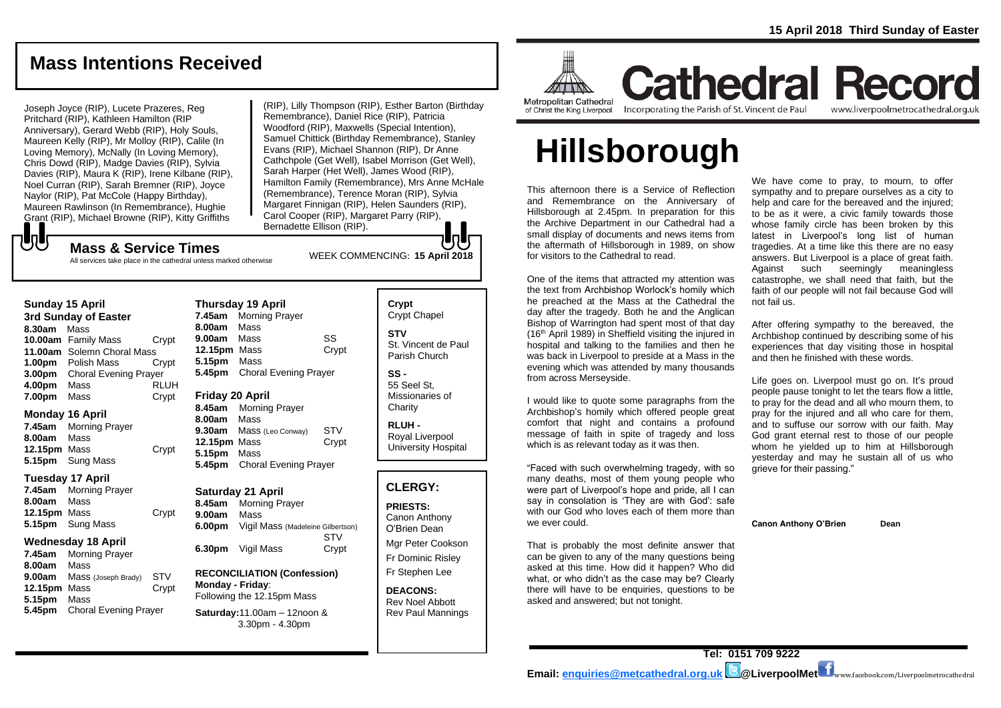### **Mass Intentions Received**

Joseph Joyce (RIP), Lucete Prazeres, Reg Pritchard (RIP), Kathleen Hamilton (RIP Anniversary), Gerard Webb (RIP), Holy Souls, Maureen Kelly (RIP), Mr Molloy (RIP), Calile (In Loving Memory), McNally (In Loving Memory), Chris Dowd (RIP), Madge Davies (RIP), Sylvia Davies (RIP), Maura K (RIP), Irene Kilbane (RIP), Noel Curran (RIP), Sarah Bremner (RIP), Joyce Naylor (RIP), Pat McCole (Happy Birthday), Maureen Rawlinson (In Remembrance), Hughie Grant (RIP), Michael Browne (RIP), Kitty Griffiths

(RIP), Lilly Thompson (RIP), Esther Barton (Birthday Remembrance), Daniel Rice (RIP), Patricia Woodford (RIP), Maxwells (Special Intention), Samuel Chittick (Birthday Remembrance), Stanley Evans (RIP), Michael Shannon (RIP), Dr Anne Cathchpole (Get Well), Isabel Morrison (Get Well), Sarah Harper (Het Well), James Wood (RIP), Hamilton Family (Remembrance), Mrs Anne McHale (Remembrance), Terence Moran (RIP), Sylvia Margaret Finnigan (RIP), Helen Saunders (RIP), Carol Cooper (RIP), Margaret Parry (RIP), Bernadette Ellison (RIP).

# もし

WEEK COMMENCING: **<sup>15</sup> April <sup>2018</sup> Mass & Service Times** All services take place in the cathedral unless marked otherwise

| <b>Sunday 15 April</b> |
|------------------------|
|------------------------|

**3rd Sunday of Easter 8.30am** Mass **10.00am** Family Mass Crypt **11.00am** Solemn Choral Mass **1.00pm** Polish Mass Crypt **3.00pm** Choral Evening Prayer **4.00pm** Mass RLUH **7.00pm** Mass Crypt

#### **Monday 16 April**

**7.45am** Morning Prayer **8.00am** Mass **12.15pm** Mass Crypt **5.15pm** Sung Mass

#### **Tuesday 17 April**

**7.45am** Morning Prayer **8.00am** Mass **12.15pm** Mass Crypt **5.15pm** Sung Mass

### **Wednesday 18 April**

**7.45am** Morning Prayer **8.00am** Mass **9.00am** Mass (Joseph Brady) STV **12.15pm** Mass Crypt **5.15pm** Mass **5.45pm** Choral Evening Prayer

| <b>Thursday 19 April</b> |                              |       |  |
|--------------------------|------------------------------|-------|--|
|                          | 7.45am Morning Prayer        |       |  |
| 8.00am Mass              |                              |       |  |
| 9.00am                   | Mass                         | SS    |  |
| 12.15pm                  | Mass                         | Crypt |  |
| 5.15pm Mass              |                              |       |  |
|                          | 5.45pm Choral Evening Prayer |       |  |
| ------                   | .                            |       |  |

### **Friday 20 April**

**8.45am** Morning Prayer **8.00am** Mass **9.30am** Mass (Leo Conway) STV **12.15pm** Mass Crypt **5.15pm** Mass **5.45pm** Choral Evening Prayer

### **Saturday 21 April**

**8.45am** Morning Prayer **9.00am** Mass **6.00pm** Vigil Mass (Madeleine Gilbertson) STV **6.30pm** Vigil Mass Crypt

### **RECONCILIATION (Confession) Monday - Friday**: Following the 12.15pm Mass

**Saturday:**11.00am – 12noon & 3.30pm - 4.30pm

### **Crypt**  Crypt Chapel **STV** St. Vincent de Paul Parish Church

**SS -** 55 Seel St, Missionaries of **Charity** 

**RLUH -** Royal Liverpool University Hospital

### **CLERGY:**

**PRIESTS:** Canon Anthony O'Brien *Dean*

Mgr Peter Cookson Fr Dominic Risley Fr Stephen Lee

**DEACONS:** Rev Noel Abbott Rev Paul Mannings



Metropolitan Cathedral of Christ the King Liverpool

### **Cathedral Record** Incorporating the Parish of St. Vincent de Paul www.liverpoolmetrocathedral.org.uk

# **Hillsborough**

This afternoon there is a Service of Reflection and Remembrance on the Anniversary of Hillsborough at 2.45pm. In preparation for this the Archive Department in our Cathedral had a small display of documents and news items from the aftermath of Hillsborough in 1989, on show for visitors to the Cathedral to read.

One of the items that attracted my attention was the text from Archbishop Worlock's homily which he preached at the Mass at the Cathedral the day after the tragedy. Both he and the Anglican Bishop of Warrington had spent most of that day (16th April 1989) in Sheffield visiting the injured in hospital and talking to the families and then he was back in Liverpool to preside at a Mass in the evening which was attended by many thousands from across Merseyside.

I would like to quote some paragraphs from the Archbishop's homily which offered people great comfort that night and contains a profound message of faith in spite of tragedy and loss which is as relevant today as it was then.

"Faced with such overwhelming tragedy, with so many deaths, most of them young people who were part of Liverpool's hope and pride, all I can say in consolation is 'They are with God': safe with our God who loves each of them more than we ever could.

That is probably the most definite answer that can be given to any of the many questions being asked at this time. How did it happen? Who did what, or who didn't as the case may be? Clearly there will have to be enquiries, questions to be asked and answered; but not tonight.

We have come to pray, to mourn, to offer sympathy and to prepare ourselves as a city to help and care for the bereaved and the injured: to be as it were, a civic family towards those whose family circle has been broken by this latest in Liverpool's long list of human tragedies. At a time like this there are no easy answers. But Liverpool is a place of great faith. Against such seemingly meaningless catastrophe, we shall need that faith, but the faith of our people will not fail because God will not fail us.

*After offering sympathy to the bereaved, the Archbishop continued by describing some of his experiences that day visiting those in hospital and then he finished with these words.*

Life goes on. Liverpool must go on. It's proud people pause tonight to let the tears flow a little, to pray for the dead and all who mourn them, to pray for the injured and all who care for them, and to suffuse our sorrow with our faith. May God grant eternal rest to those of our people whom he yielded up to him at Hillsborough yesterday and may he sustain all of us who grieve for their passing."

**Canon Anthony O'Brien Dean**